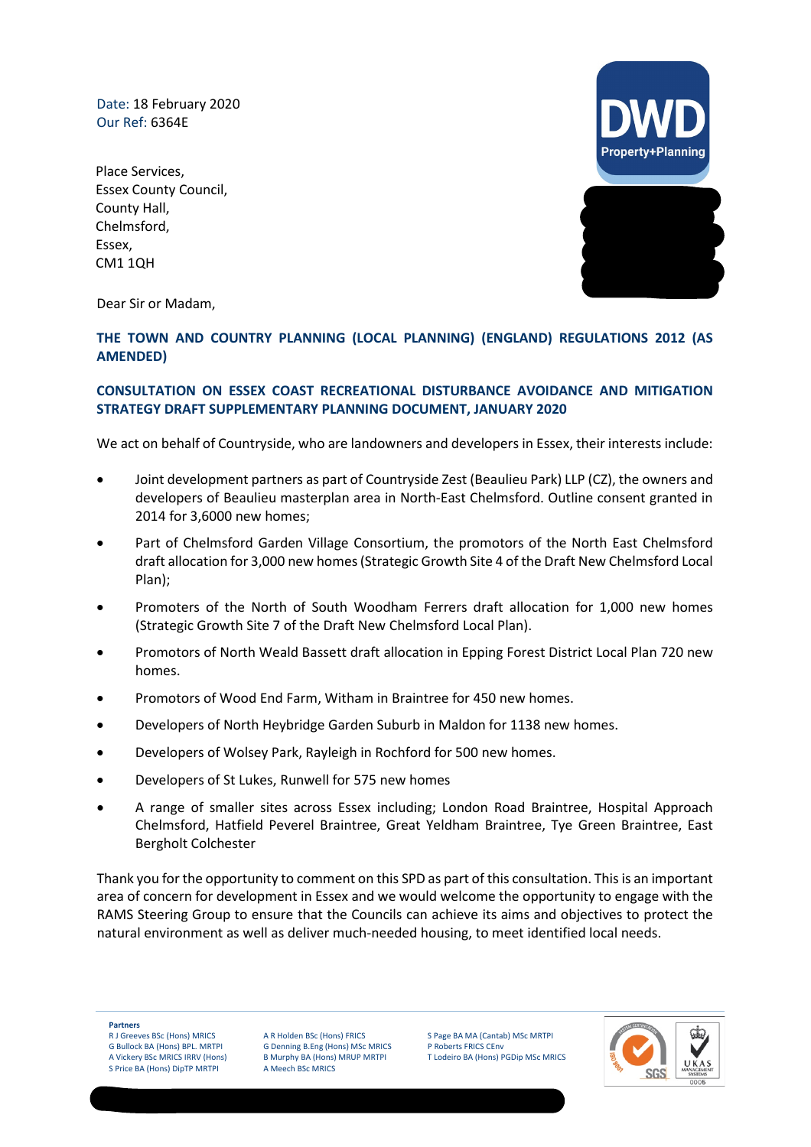Date: 18 February 2020 Our Ref: 6364E

Place Services, Essex County Council, County Hall, Chelmsford, Essex, CM1 1QH



Dear Sir or Madam,

#### **THE TOWN AND COUNTRY PLANNING (LOCAL PLANNING) (ENGLAND) REGULATIONS 2012 (AS AMENDED)**

#### **CONSULTATION ON ESSEX COAST RECREATIONAL DISTURBANCE AVOIDANCE AND MITIGATION STRATEGY DRAFT SUPPLEMENTARY PLANNING DOCUMENT, JANUARY 2020**

We act on behalf of Countryside, who are landowners and developers in Essex, their interests include:

- Joint development partners as part of Countryside Zest (Beaulieu Park) LLP (CZ), the owners and developers of Beaulieu masterplan area in North-East Chelmsford. Outline consent granted in 2014 for 3,6000 new homes;
- Part of Chelmsford Garden Village Consortium, the promotors of the North East Chelmsford draft allocation for 3,000 new homes (Strategic Growth Site 4 of the Draft New Chelmsford Local Plan);
- Promoters of the North of South Woodham Ferrers draft allocation for 1,000 new homes (Strategic Growth Site 7 of the Draft New Chelmsford Local Plan).
- Promotors of North Weald Bassett draft allocation in Epping Forest District Local Plan 720 new homes.
- Promotors of Wood End Farm, Witham in Braintree for 450 new homes.
- Developers of North Heybridge Garden Suburb in Maldon for 1138 new homes.
- Developers of Wolsey Park, Rayleigh in Rochford for 500 new homes.
- Developers of St Lukes, Runwell for 575 new homes
- A range of smaller sites across Essex including; London Road Braintree, Hospital Approach Chelmsford, Hatfield Peverel Braintree, Great Yeldham Braintree, Tye Green Braintree, East Bergholt Colchester

Thank you for the opportunity to comment on this SPD as part of this consultation. This is an important area of concern for development in Essex and we would welcome the opportunity to engage with the RAMS Steering Group to ensure that the Councils can achieve its aims and objectives to protect the natural environment as well as deliver much-needed housing, to meet identified local needs.

**Partners**

R J Greeves BSc (Hons) MRICS G Bullock BA (Hons) BPL. MRTPI

Registered Office: 6 New Bridge Street, London EC4V 6AB.

A Vickery BSc MRICS IRRV (Hons) S Price BA (Hons) DipTP MRTPI

A R Holden BSc (Hons) FRICS G Denning B.Eng (Hons) MSc MRICS B Murphy BA (Hons) MRUP MRTPI A Meech BSc MRICS

S Page BA MA (Cantab) MSc MRTPI P Roberts FRICS CEnv T Lodeiro BA (Hons) PGDip MSc MRICS

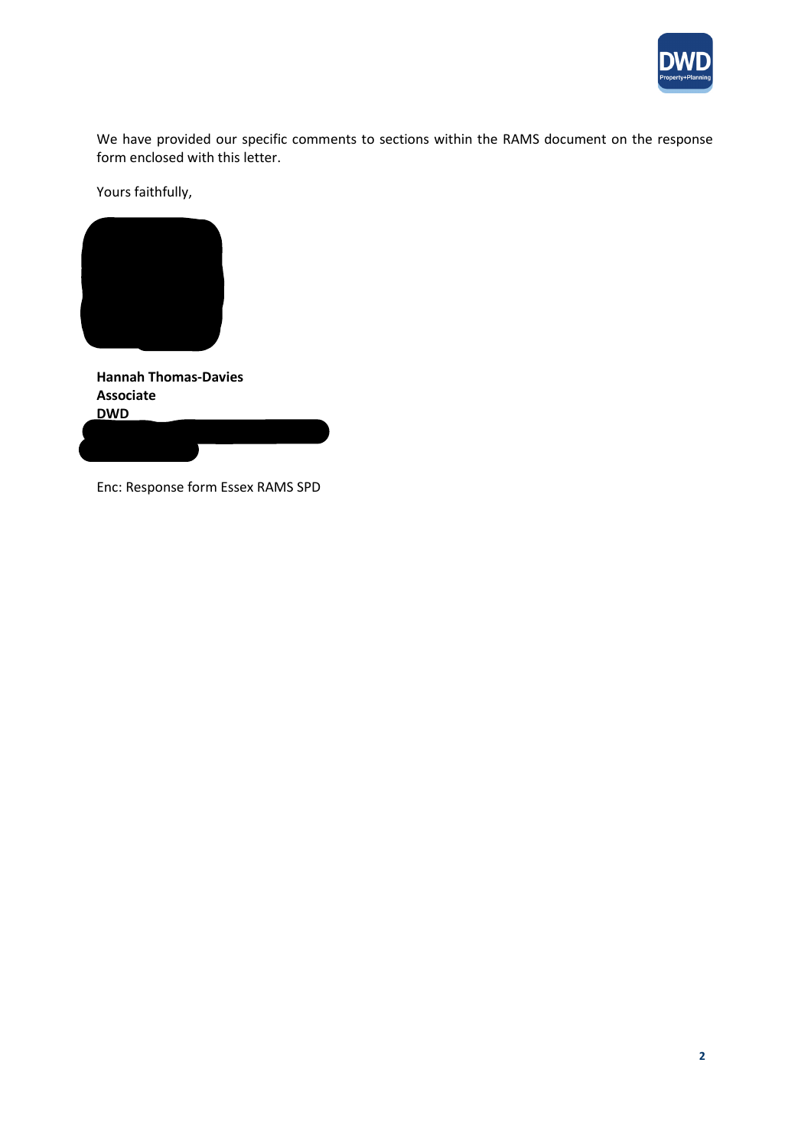

We have provided our specific comments to sections within the RAMS document on the response form enclosed with this letter.

Yours faithfully,



**Hannah Thomas-Davies Associate DWD**

Enc: Response form Essex RAMS SPD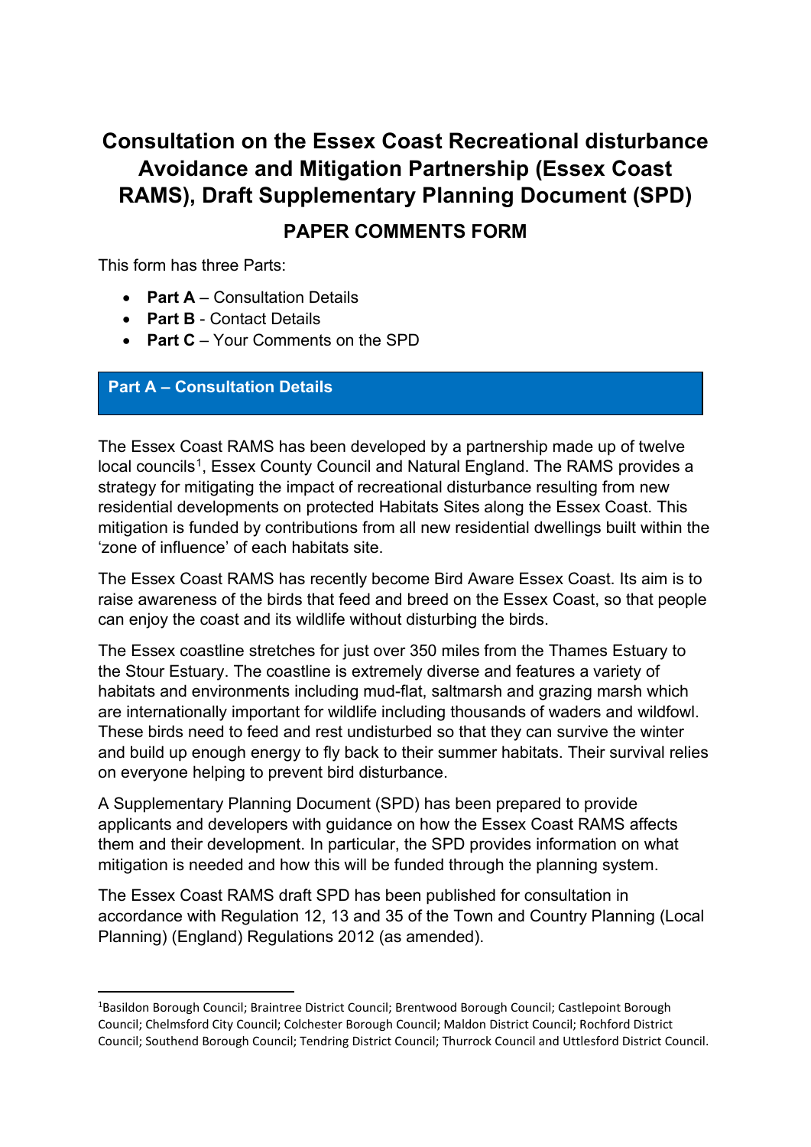# **Consultation on the Essex Coast Recreational disturbance Avoidance and Mitigation Partnership (Essex Coast RAMS), Draft Supplementary Planning Document (SPD)**

## **PAPER COMMENTS FORM**

This form has three Parts:

- **Part A** Consultation Details
- **Part B** Contact Details
- **Part C** Your Comments on the SPD

### **Part A – Consultation Details**

The Essex Coast RAMS has been developed by a partnership made up of twelve local councils<sup>[1](#page-2-0)</sup>, Essex County Council and Natural England. The RAMS provides a strategy for mitigating the impact of recreational disturbance resulting from new residential developments on protected Habitats Sites along the Essex Coast. This mitigation is funded by contributions from all new residential dwellings built within the 'zone of influence' of each habitats site.

The Essex Coast RAMS has recently become Bird Aware Essex Coast. Its aim is to raise awareness of the birds that feed and breed on the Essex Coast, so that people can enjoy the coast and its wildlife without disturbing the birds.

The Essex coastline stretches for just over 350 miles from the Thames Estuary to the Stour Estuary. The coastline is extremely diverse and features a variety of habitats and environments including mud-flat, saltmarsh and grazing marsh which are internationally important for wildlife including thousands of waders and wildfowl. These birds need to feed and rest undisturbed so that they can survive the winter and build up enough energy to fly back to their summer habitats. Their survival relies on everyone helping to prevent bird disturbance.

A Supplementary Planning Document (SPD) has been prepared to provide applicants and developers with guidance on how the Essex Coast RAMS affects them and their development. In particular, the SPD provides information on what mitigation is needed and how this will be funded through the planning system.

The Essex Coast RAMS draft SPD has been published for consultation in accordance with Regulation 12, 13 and 35 of the Town and Country Planning (Local Planning) (England) Regulations 2012 (as amended).

<span id="page-2-0"></span><sup>&</sup>lt;sup>1</sup>Basildon Borough Council; Braintree District Council; Brentwood Borough Council; Castlepoint Borough Council; Chelmsford City Council; Colchester Borough Council; Maldon District Council; Rochford District Council; Southend Borough Council; Tendring District Council; Thurrock Council and Uttlesford District Council.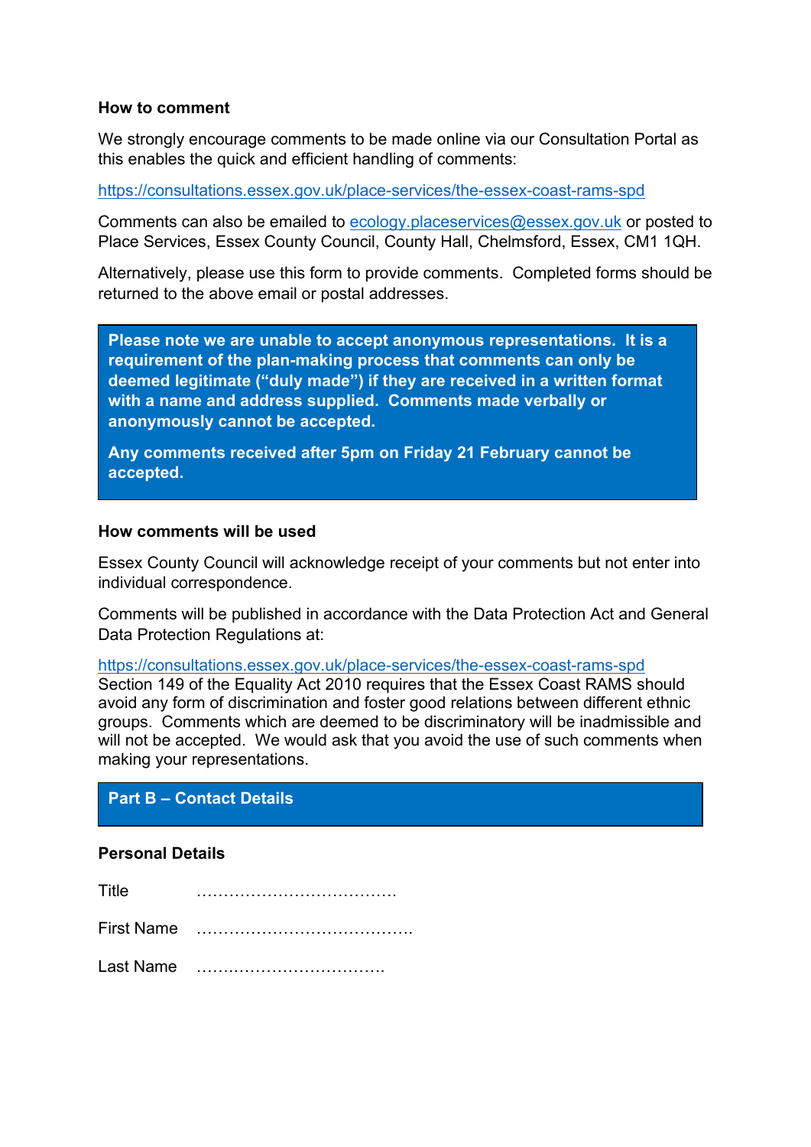### **How to comment**

We strongly encourage comments to be made online via our Consultation Portal as this enables the quick and efficient handling of comments:

<https://consultations.essex.gov.uk/place-services/the-essex-coast-rams-spd>

Comments can also be emailed to [ecology.placeservices@essex.gov.uk](mailto:ecology.placeservices@essex.gov.uk) or posted to Place Services, Essex County Council, County Hall, Chelmsford, Essex, CM1 1QH.

Alternatively, please use this form to provide comments. Completed forms should be returned to the above email or postal addresses.

**Please note we are unable to accept anonymous representations. It is a requirement of the plan-making process that comments can only be deemed legitimate ("duly made") if they are received in a written format with a name and address supplied. Comments made verbally or anonymously cannot be accepted.**

**Any comments received after 5pm on Friday 21 February cannot be accepted.**

#### **How comments will be used**

Essex County Council will acknowledge receipt of your comments but not enter into individual correspondence.

Comments will be published in accordance with the Data Protection Act and General Data Protection Regulations at:

<https://consultations.essex.gov.uk/place-services/the-essex-coast-rams-spd>

Section 149 of the Equality Act 2010 requires that the Essex Coast RAMS should avoid any form of discrimination and foster good relations between different ethnic groups. Comments which are deemed to be discriminatory will be inadmissible and will not be accepted. We would ask that you avoid the use of such comments when making your representations.

### **Part B – Contact Details**

### **Personal Details**

| Title             |  |
|-------------------|--|
| <b>First Name</b> |  |
| Last Name         |  |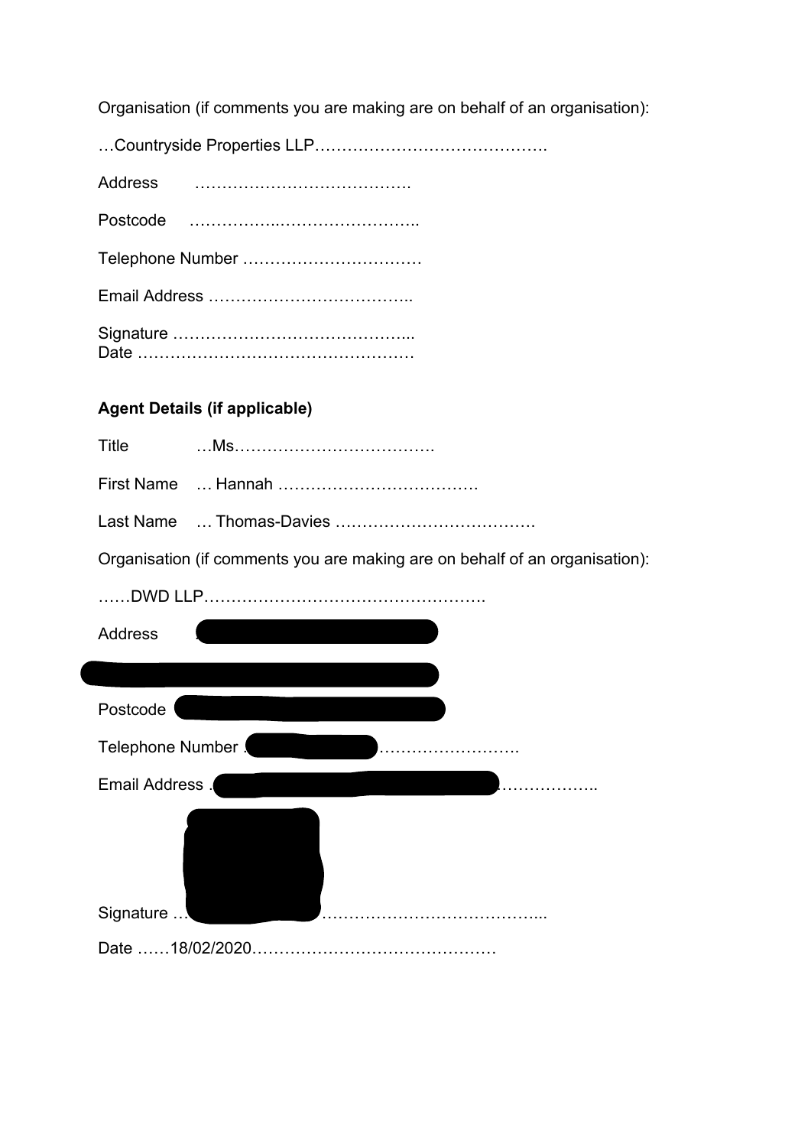Organisation (if comments you are making are on behalf of an organisation):

| Telephone Number |  |  |
|------------------|--|--|
|                  |  |  |
|                  |  |  |

### **Agent Details (if applicable)**

| - Title |  |
|---------|--|
|         |  |
|         |  |

Organisation (if comments you are making are on behalf of an organisation):

| DWD LLP.           |
|--------------------|
| Address            |
|                    |
| Postcode           |
| Telephone Number ! |
| Email Address .    |
|                    |
| Signature          |
|                    |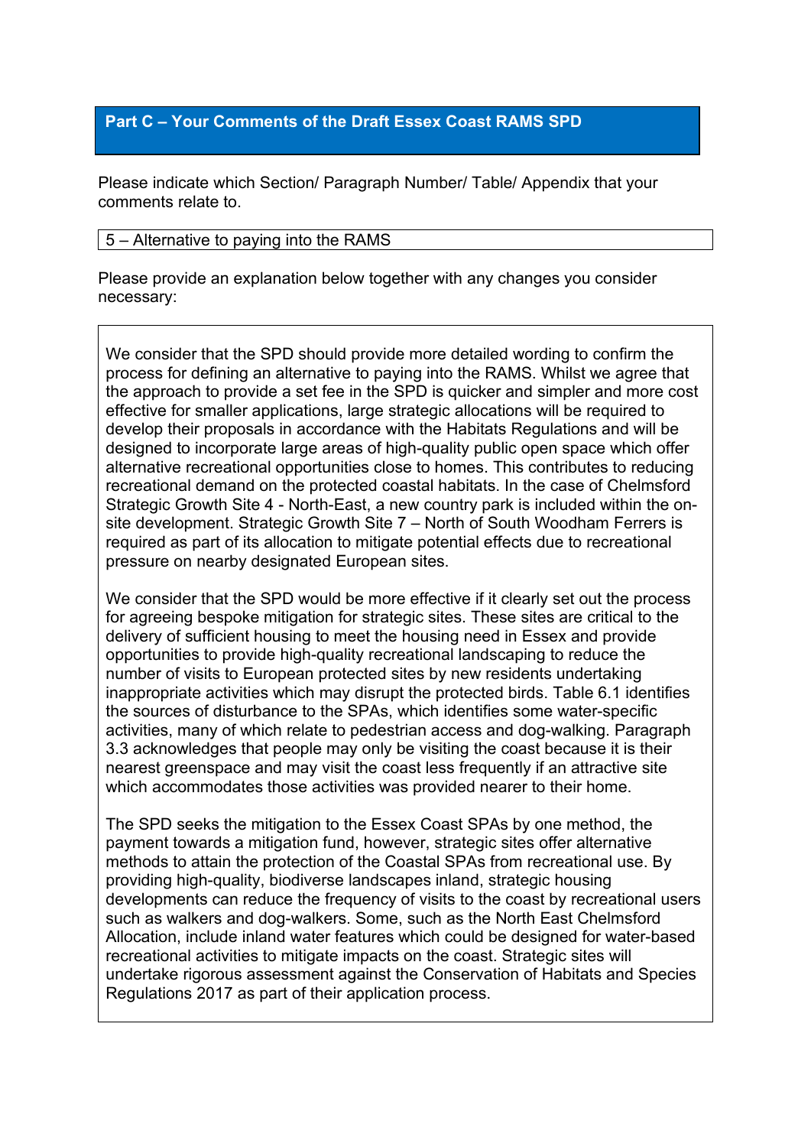### **Part C – Your Comments of the Draft Essex Coast RAMS SPD**

Please indicate which Section/ Paragraph Number/ Table/ Appendix that your comments relate to.

### 5 – Alternative to paying into the RAMS

Please provide an explanation below together with any changes you consider necessary:

We consider that the SPD should provide more detailed wording to confirm the process for defining an alternative to paying into the RAMS. Whilst we agree that the approach to provide a set fee in the SPD is quicker and simpler and more cost effective for smaller applications, large strategic allocations will be required to develop their proposals in accordance with the Habitats Regulations and will be designed to incorporate large areas of high-quality public open space which offer alternative recreational opportunities close to homes. This contributes to reducing recreational demand on the protected coastal habitats. In the case of Chelmsford Strategic Growth Site 4 - North-East, a new country park is included within the onsite development. Strategic Growth Site 7 – North of South Woodham Ferrers is required as part of its allocation to mitigate potential effects due to recreational pressure on nearby designated European sites.

We consider that the SPD would be more effective if it clearly set out the process for agreeing bespoke mitigation for strategic sites. These sites are critical to the delivery of sufficient housing to meet the housing need in Essex and provide opportunities to provide high-quality recreational landscaping to reduce the number of visits to European protected sites by new residents undertaking inappropriate activities which may disrupt the protected birds. Table 6.1 identifies the sources of disturbance to the SPAs, which identifies some water-specific activities, many of which relate to pedestrian access and dog-walking. Paragraph 3.3 acknowledges that people may only be visiting the coast because it is their nearest greenspace and may visit the coast less frequently if an attractive site which accommodates those activities was provided nearer to their home.

The SPD seeks the mitigation to the Essex Coast SPAs by one method, the payment towards a mitigation fund, however, strategic sites offer alternative methods to attain the protection of the Coastal SPAs from recreational use. By providing high-quality, biodiverse landscapes inland, strategic housing developments can reduce the frequency of visits to the coast by recreational users such as walkers and dog-walkers. Some, such as the North East Chelmsford Allocation, include inland water features which could be designed for water-based recreational activities to mitigate impacts on the coast. Strategic sites will undertake rigorous assessment against the Conservation of Habitats and Species Regulations 2017 as part of their application process.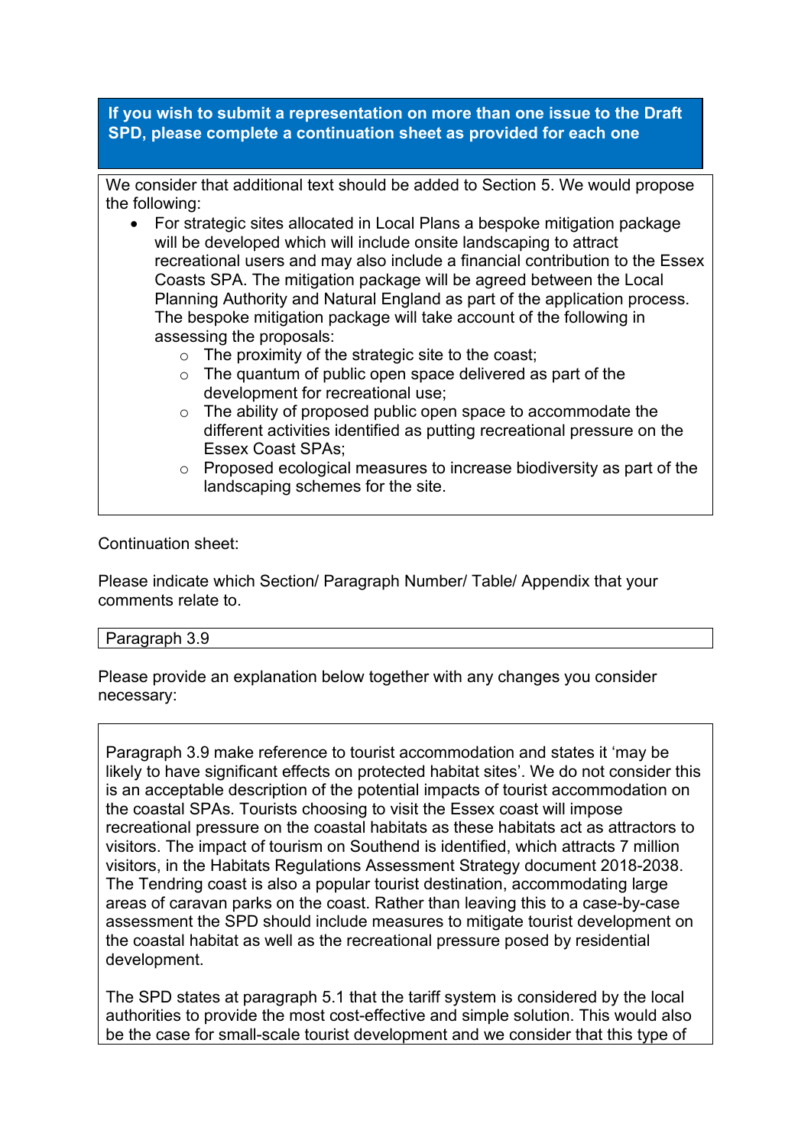**If you wish to submit a representation on more than one issue to the Draft SPD, please complete a continuation sheet as provided for each one**

We consider that additional text should be added to Section 5. We would propose the following:

- For strategic sites allocated in Local Plans a bespoke mitigation package will be developed which will include onsite landscaping to attract recreational users and may also include a financial contribution to the Essex Coasts SPA. The mitigation package will be agreed between the Local Planning Authority and Natural England as part of the application process. The bespoke mitigation package will take account of the following in assessing the proposals:
	- $\circ$  The proximity of the strategic site to the coast:
	- o The quantum of public open space delivered as part of the development for recreational use;
	- o The ability of proposed public open space to accommodate the different activities identified as putting recreational pressure on the Essex Coast SPAs;
	- o Proposed ecological measures to increase biodiversity as part of the landscaping schemes for the site.

### Continuation sheet:

Please indicate which Section/ Paragraph Number/ Table/ Appendix that your comments relate to.

#### Paragraph 3.9

Please provide an explanation below together with any changes you consider necessary:

Paragraph 3.9 make reference to tourist accommodation and states it 'may be likely to have significant effects on protected habitat sites'. We do not consider this is an acceptable description of the potential impacts of tourist accommodation on the coastal SPAs. Tourists choosing to visit the Essex coast will impose recreational pressure on the coastal habitats as these habitats act as attractors to visitors. The impact of tourism on Southend is identified, which attracts 7 million visitors, in the Habitats Regulations Assessment Strategy document 2018-2038. The Tendring coast is also a popular tourist destination, accommodating large areas of caravan parks on the coast. Rather than leaving this to a case-by-case assessment the SPD should include measures to mitigate tourist development on the coastal habitat as well as the recreational pressure posed by residential development.

The SPD states at paragraph 5.1 that the tariff system is considered by the local authorities to provide the most cost-effective and simple solution. This would also be the case for small-scale tourist development and we consider that this type of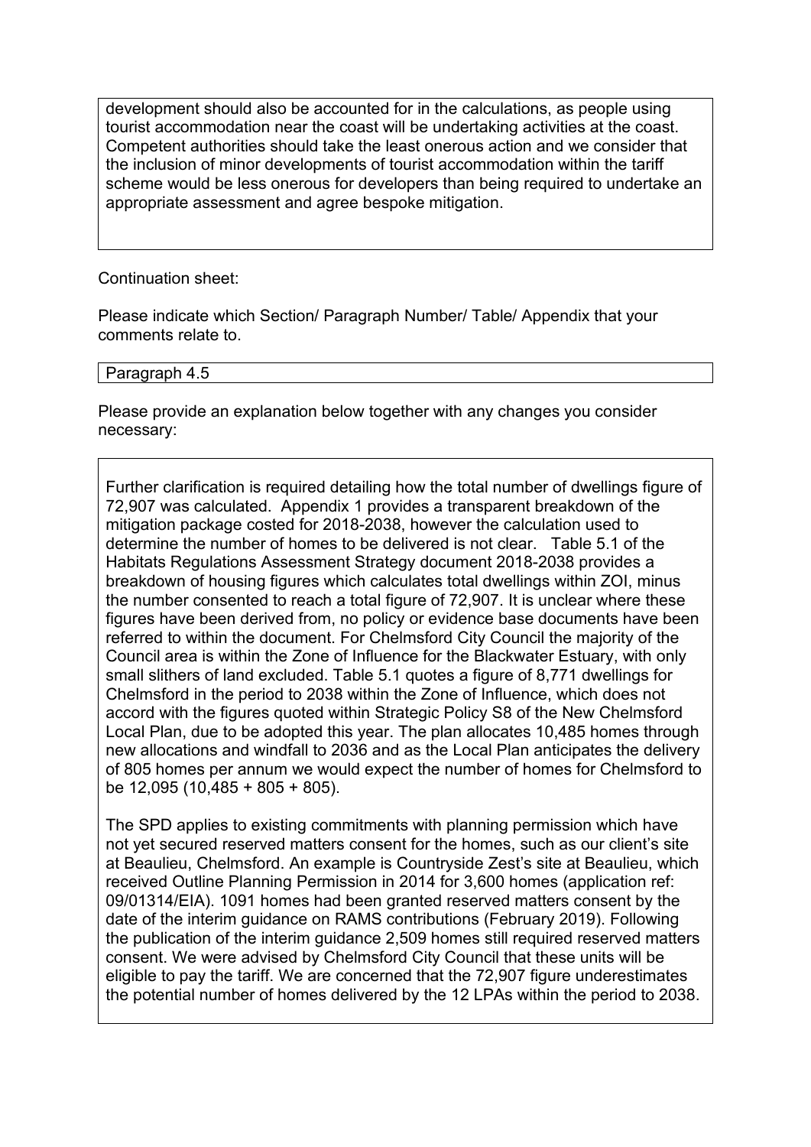development should also be accounted for in the calculations, as people using tourist accommodation near the coast will be undertaking activities at the coast. Competent authorities should take the least onerous action and we consider that the inclusion of minor developments of tourist accommodation within the tariff scheme would be less onerous for developers than being required to undertake an appropriate assessment and agree bespoke mitigation.

Continuation sheet:

Please indicate which Section/ Paragraph Number/ Table/ Appendix that your comments relate to.

Paragraph 4.5

Please provide an explanation below together with any changes you consider necessary:

Further clarification is required detailing how the total number of dwellings figure of 72,907 was calculated. Appendix 1 provides a transparent breakdown of the mitigation package costed for 2018-2038, however the calculation used to determine the number of homes to be delivered is not clear. Table 5.1 of the Habitats Regulations Assessment Strategy document 2018-2038 provides a breakdown of housing figures which calculates total dwellings within ZOI, minus the number consented to reach a total figure of 72,907. It is unclear where these figures have been derived from, no policy or evidence base documents have been referred to within the document. For Chelmsford City Council the majority of the Council area is within the Zone of Influence for the Blackwater Estuary, with only small slithers of land excluded. Table 5.1 quotes a figure of 8,771 dwellings for Chelmsford in the period to 2038 within the Zone of Influence, which does not accord with the figures quoted within Strategic Policy S8 of the New Chelmsford Local Plan, due to be adopted this year. The plan allocates 10,485 homes through new allocations and windfall to 2036 and as the Local Plan anticipates the delivery of 805 homes per annum we would expect the number of homes for Chelmsford to be 12,095 (10,485 + 805 + 805).

The SPD applies to existing commitments with planning permission which have not yet secured reserved matters consent for the homes, such as our client's site at Beaulieu, Chelmsford. An example is Countryside Zest's site at Beaulieu, which received Outline Planning Permission in 2014 for 3,600 homes (application ref: 09/01314/EIA). 1091 homes had been granted reserved matters consent by the date of the interim guidance on RAMS contributions (February 2019). Following the publication of the interim guidance 2,509 homes still required reserved matters consent. We were advised by Chelmsford City Council that these units will be eligible to pay the tariff. We are concerned that the 72,907 figure underestimates the potential number of homes delivered by the 12 LPAs within the period to 2038.